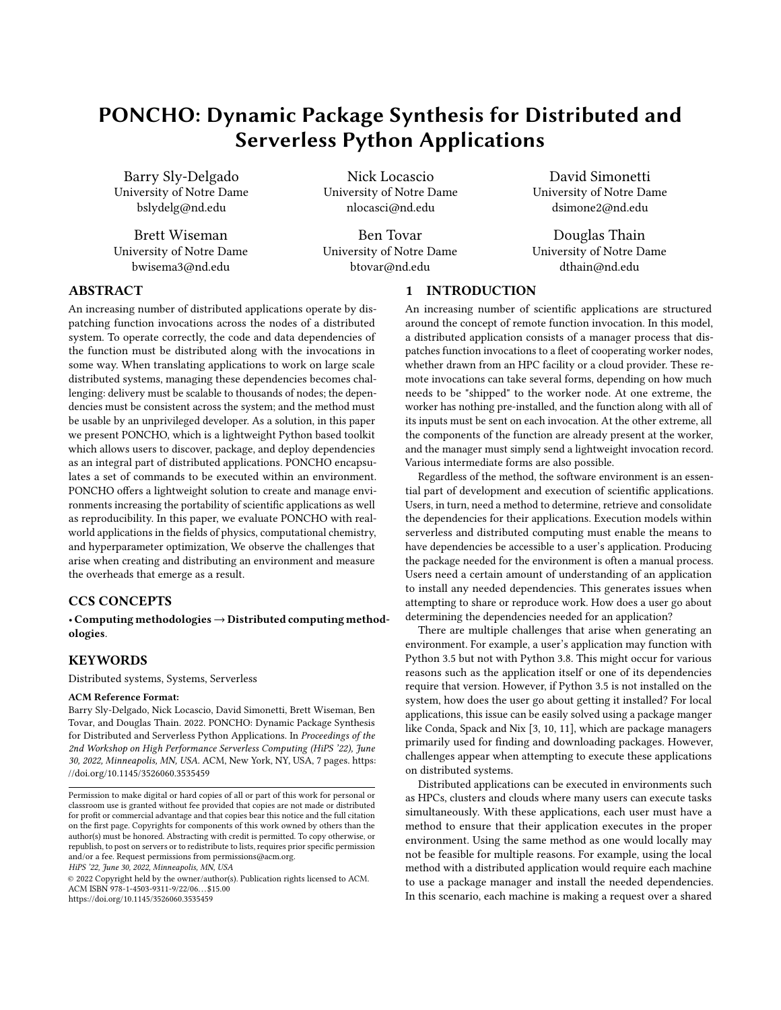# PONCHO: Dynamic Package Synthesis for Distributed and Serverless Python Applications

Barry Sly-Delgado University of Notre Dame bslydelg@nd.edu

Brett Wiseman University of Notre Dame bwisema3@nd.edu

Nick Locascio University of Notre Dame nlocasci@nd.edu

Ben Tovar University of Notre Dame btovar@nd.edu

David Simonetti University of Notre Dame dsimone2@nd.edu

Douglas Thain University of Notre Dame dthain@nd.edu

# ABSTRACT

An increasing number of distributed applications operate by dispatching function invocations across the nodes of a distributed system. To operate correctly, the code and data dependencies of the function must be distributed along with the invocations in some way. When translating applications to work on large scale distributed systems, managing these dependencies becomes challenging: delivery must be scalable to thousands of nodes; the dependencies must be consistent across the system; and the method must be usable by an unprivileged developer. As a solution, in this paper we present PONCHO, which is a lightweight Python based toolkit which allows users to discover, package, and deploy dependencies as an integral part of distributed applications. PONCHO encapsulates a set of commands to be executed within an environment. PONCHO offers a lightweight solution to create and manage environments increasing the portability of scientific applications as well as reproducibility. In this paper, we evaluate PONCHO with realworld applications in the fields of physics, computational chemistry, and hyperparameter optimization, We observe the challenges that arise when creating and distributing an environment and measure the overheads that emerge as a result.

#### CCS CONCEPTS

• Computing methodologies→Distributed computing methodologies.

# **KEYWORDS**

Distributed systems, Systems, Serverless

#### ACM Reference Format:

Barry Sly-Delgado, Nick Locascio, David Simonetti, Brett Wiseman, Ben Tovar, and Douglas Thain. 2022. PONCHO: Dynamic Package Synthesis for Distributed and Serverless Python Applications. In Proceedings of the 2nd Workshop on High Performance Serverless Computing (HiPS '22), June 30, 2022, Minneapolis, MN, USA. ACM, New York, NY, USA, [7](#page-6-0) pages. [https:](https://doi.org/10.1145/3526060.3535459) [//doi.org/10.1145/3526060.3535459](https://doi.org/10.1145/3526060.3535459)

HiPS '22, June 30, 2022, Minneapolis, MN, USA

© 2022 Copyright held by the owner/author(s). Publication rights licensed to ACM. ACM ISBN 978-1-4503-9311-9/22/06. . . \$15.00 <https://doi.org/10.1145/3526060.3535459>

# 1 INTRODUCTION

An increasing number of scientific applications are structured around the concept of remote function invocation. In this model, a distributed application consists of a manager process that dispatches function invocations to a fleet of cooperating worker nodes, whether drawn from an HPC facility or a cloud provider. These remote invocations can take several forms, depending on how much needs to be "shipped" to the worker node. At one extreme, the worker has nothing pre-installed, and the function along with all of its inputs must be sent on each invocation. At the other extreme, all the components of the function are already present at the worker, and the manager must simply send a lightweight invocation record. Various intermediate forms are also possible.

Regardless of the method, the software environment is an essential part of development and execution of scientific applications. Users, in turn, need a method to determine, retrieve and consolidate the dependencies for their applications. Execution models within serverless and distributed computing must enable the means to have dependencies be accessible to a user's application. Producing the package needed for the environment is often a manual process. Users need a certain amount of understanding of an application to install any needed dependencies. This generates issues when attempting to share or reproduce work. How does a user go about determining the dependencies needed for an application?

There are multiple challenges that arise when generating an environment. For example, a user's application may function with Python 3.5 but not with Python 3.8. This might occur for various reasons such as the application itself or one of its dependencies require that version. However, if Python 3.5 is not installed on the system, how does the user go about getting it installed? For local applications, this issue can be easily solved using a package manger like Conda, Spack and Nix [\[3,](#page-6-1) [10,](#page-6-2) [11\]](#page-6-3), which are package managers primarily used for finding and downloading packages. However, challenges appear when attempting to execute these applications on distributed systems.

Distributed applications can be executed in environments such as HPCs, clusters and clouds where many users can execute tasks simultaneously. With these applications, each user must have a method to ensure that their application executes in the proper environment. Using the same method as one would locally may not be feasible for multiple reasons. For example, using the local method with a distributed application would require each machine to use a package manager and install the needed dependencies. In this scenario, each machine is making a request over a shared

Permission to make digital or hard copies of all or part of this work for personal or classroom use is granted without fee provided that copies are not made or distributed for profit or commercial advantage and that copies bear this notice and the full citation on the first page. Copyrights for components of this work owned by others than the author(s) must be honored. Abstracting with credit is permitted. To copy otherwise, or republish, to post on servers or to redistribute to lists, requires prior specific permission and/or a fee. Request permissions from permissions@acm.org.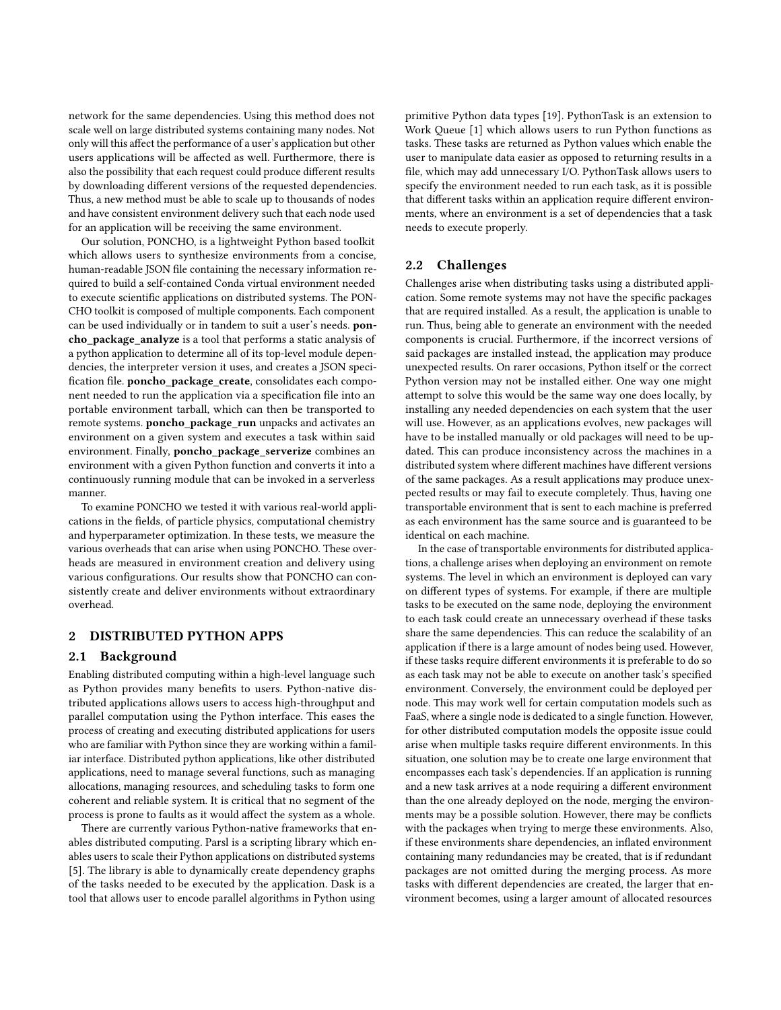network for the same dependencies. Using this method does not scale well on large distributed systems containing many nodes. Not only will this affect the performance of a user's application but other users applications will be affected as well. Furthermore, there is also the possibility that each request could produce different results by downloading different versions of the requested dependencies. Thus, a new method must be able to scale up to thousands of nodes and have consistent environment delivery such that each node used for an application will be receiving the same environment.

Our solution, PONCHO, is a lightweight Python based toolkit which allows users to synthesize environments from a concise, human-readable JSON file containing the necessary information required to build a self-contained Conda virtual environment needed to execute scientific applications on distributed systems. The PON-CHO toolkit is composed of multiple components. Each component can be used individually or in tandem to suit a user's needs. poncho\_package\_analyze is a tool that performs a static analysis of a python application to determine all of its top-level module dependencies, the interpreter version it uses, and creates a JSON specification file. poncho\_package\_create, consolidates each component needed to run the application via a specification file into an portable environment tarball, which can then be transported to remote systems. poncho\_package\_run unpacks and activates an environment on a given system and executes a task within said environment. Finally, poncho\_package\_serverize combines an environment with a given Python function and converts it into a continuously running module that can be invoked in a serverless manner.

To examine PONCHO we tested it with various real-world applications in the fields, of particle physics, computational chemistry and hyperparameter optimization. In these tests, we measure the various overheads that can arise when using PONCHO. These overheads are measured in environment creation and delivery using various configurations. Our results show that PONCHO can consistently create and deliver environments without extraordinary overhead.

#### 2 DISTRIBUTED PYTHON APPS

#### 2.1 Background

Enabling distributed computing within a high-level language such as Python provides many benefits to users. Python-native distributed applications allows users to access high-throughput and parallel computation using the Python interface. This eases the process of creating and executing distributed applications for users who are familiar with Python since they are working within a familiar interface. Distributed python applications, like other distributed applications, need to manage several functions, such as managing allocations, managing resources, and scheduling tasks to form one coherent and reliable system. It is critical that no segment of the process is prone to faults as it would affect the system as a whole.

There are currently various Python-native frameworks that enables distributed computing. Parsl is a scripting library which enables users to scale their Python applications on distributed systems [\[5\]](#page-6-4). The library is able to dynamically create dependency graphs of the tasks needed to be executed by the application. Dask is a tool that allows user to encode parallel algorithms in Python using

primitive Python data types [\[19\]](#page-6-5). PythonTask is an extension to Work Queue [\[1\]](#page-6-6) which allows users to run Python functions as tasks. These tasks are returned as Python values which enable the user to manipulate data easier as opposed to returning results in a file, which may add unnecessary I/O. PythonTask allows users to specify the environment needed to run each task, as it is possible that different tasks within an application require different environments, where an environment is a set of dependencies that a task needs to execute properly.

#### 2.2 Challenges

Challenges arise when distributing tasks using a distributed application. Some remote systems may not have the specific packages that are required installed. As a result, the application is unable to run. Thus, being able to generate an environment with the needed components is crucial. Furthermore, if the incorrect versions of said packages are installed instead, the application may produce unexpected results. On rarer occasions, Python itself or the correct Python version may not be installed either. One way one might attempt to solve this would be the same way one does locally, by installing any needed dependencies on each system that the user will use. However, as an applications evolves, new packages will have to be installed manually or old packages will need to be updated. This can produce inconsistency across the machines in a distributed system where different machines have different versions of the same packages. As a result applications may produce unexpected results or may fail to execute completely. Thus, having one transportable environment that is sent to each machine is preferred as each environment has the same source and is guaranteed to be identical on each machine.

In the case of transportable environments for distributed applications, a challenge arises when deploying an environment on remote systems. The level in which an environment is deployed can vary on different types of systems. For example, if there are multiple tasks to be executed on the same node, deploying the environment to each task could create an unnecessary overhead if these tasks share the same dependencies. This can reduce the scalability of an application if there is a large amount of nodes being used. However, if these tasks require different environments it is preferable to do so as each task may not be able to execute on another task's specified environment. Conversely, the environment could be deployed per node. This may work well for certain computation models such as FaaS, where a single node is dedicated to a single function. However, for other distributed computation models the opposite issue could arise when multiple tasks require different environments. In this situation, one solution may be to create one large environment that encompasses each task's dependencies. If an application is running and a new task arrives at a node requiring a different environment than the one already deployed on the node, merging the environments may be a possible solution. However, there may be conflicts with the packages when trying to merge these environments. Also, if these environments share dependencies, an inflated environment containing many redundancies may be created, that is if redundant packages are not omitted during the merging process. As more tasks with different dependencies are created, the larger that environment becomes, using a larger amount of allocated resources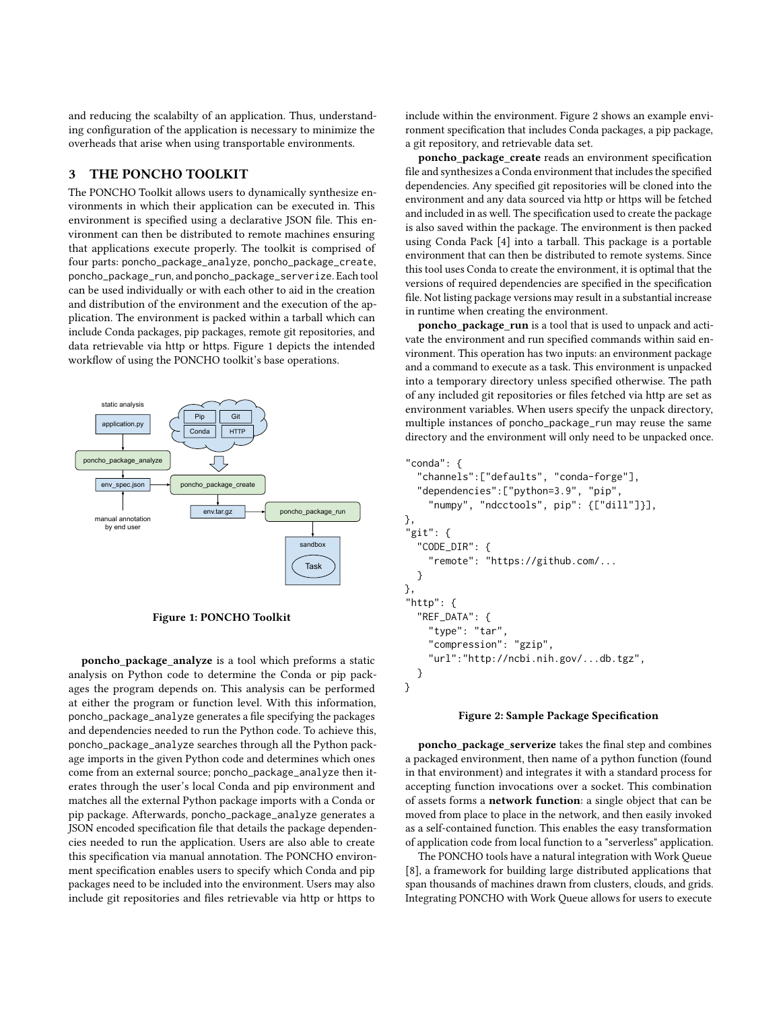and reducing the scalabilty of an application. Thus, understanding configuration of the application is necessary to minimize the overheads that arise when using transportable environments.

# 3 THE PONCHO TOOLKIT

The PONCHO Toolkit allows users to dynamically synthesize environments in which their application can be executed in. This environment is specified using a declarative JSON file. This environment can then be distributed to remote machines ensuring that applications execute properly. The toolkit is comprised of four parts: poncho\_package\_analyze, poncho\_package\_create, poncho\_package\_run, and poncho\_package\_serverize. Each tool can be used individually or with each other to aid in the creation and distribution of the environment and the execution of the application. The environment is packed within a tarball which can include Conda packages, pip packages, remote git repositories, and data retrievable via http or https. Figure [1](#page-2-0) depicts the intended workflow of using the PONCHO toolkit's base operations.

<span id="page-2-0"></span>

Figure 1: PONCHO Toolkit

poncho\_package\_analyze is a tool which preforms a static analysis on Python code to determine the Conda or pip packages the program depends on. This analysis can be performed at either the program or function level. With this information, poncho\_package\_analyze generates a file specifying the packages and dependencies needed to run the Python code. To achieve this, poncho\_package\_analyze searches through all the Python package imports in the given Python code and determines which ones come from an external source; poncho\_package\_analyze then iterates through the user's local Conda and pip environment and matches all the external Python package imports with a Conda or pip package. Afterwards, poncho\_package\_analyze generates a JSON encoded specification file that details the package dependencies needed to run the application. Users are also able to create this specification via manual annotation. The PONCHO environment specification enables users to specify which Conda and pip packages need to be included into the environment. Users may also include git repositories and files retrievable via http or https to

include within the environment. Figure [2](#page-2-1) shows an example environment specification that includes Conda packages, a pip package, a git repository, and retrievable data set.

poncho\_package\_create reads an environment specification file and synthesizes a Conda environment that includes the specified dependencies. Any specified git repositories will be cloned into the environment and any data sourced via http or https will be fetched and included in as well. The specification used to create the package is also saved within the package. The environment is then packed using Conda Pack [\[4\]](#page-6-7) into a tarball. This package is a portable environment that can then be distributed to remote systems. Since this tool uses Conda to create the environment, it is optimal that the versions of required dependencies are specified in the specification file. Not listing package versions may result in a substantial increase in runtime when creating the environment.

poncho package run is a tool that is used to unpack and activate the environment and run specified commands within said environment. This operation has two inputs: an environment package and a command to execute as a task. This environment is unpacked into a temporary directory unless specified otherwise. The path of any included git repositories or files fetched via http are set as environment variables. When users specify the unpack directory, multiple instances of poncho\_package\_run may reuse the same directory and the environment will only need to be unpacked once.

```
"conda": {
  "channels":["defaults", "conda-forge"],
  "dependencies":["python=3.9", "pip",
    "numpy", "ndcctools", pip": {["dill"]}],
},
"git": {
  "CODE_DIR": {
    "remote": "https://github.com/...
  }
},
"http": \{"REF_DATA": {
    "type": "tar",
    "compression": "gzip",
    "url":"http://ncbi.nih.gov/...db.tgz",
  }
}
```
#### Figure 2: Sample Package Specification

poncho\_package\_serverize takes the final step and combines a packaged environment, then name of a python function (found in that environment) and integrates it with a standard process for accepting function invocations over a socket. This combination of assets forms a network function: a single object that can be moved from place to place in the network, and then easily invoked as a self-contained function. This enables the easy transformation of application code from local function to a "serverless" application.

The PONCHO tools have a natural integration with Work Queue [\[8\]](#page-6-8), a framework for building large distributed applications that span thousands of machines drawn from clusters, clouds, and grids. Integrating PONCHO with Work Queue allows for users to execute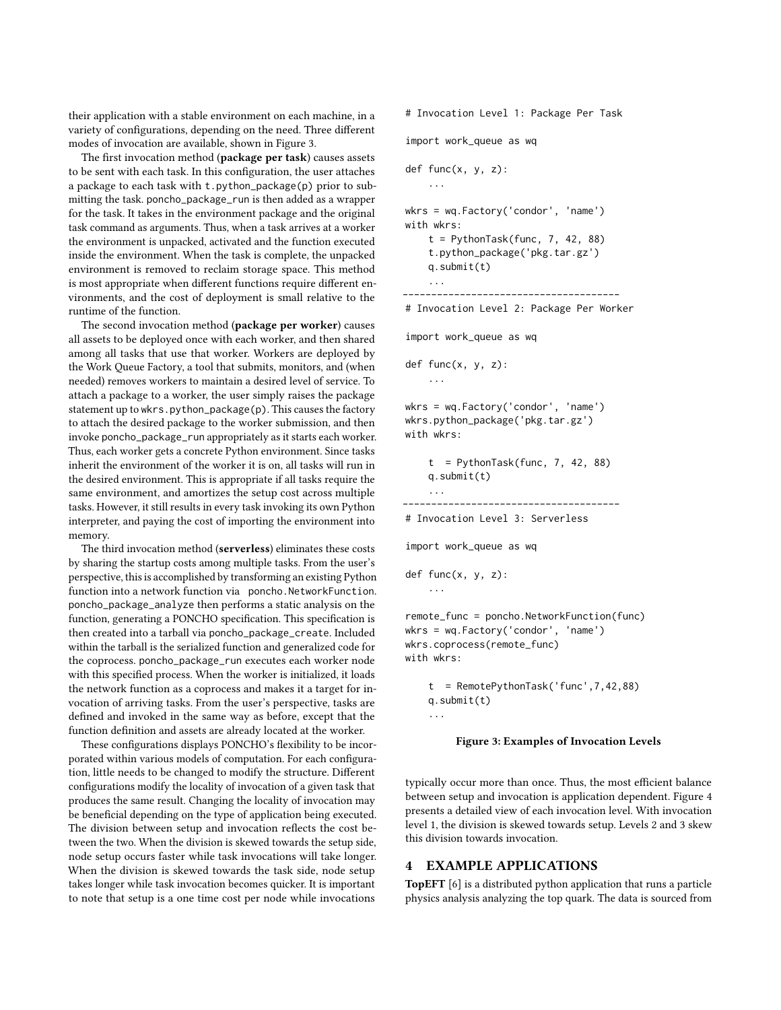their application with a stable environment on each machine, in a variety of configurations, depending on the need. Three different modes of invocation are available, shown in Figure [3.](#page-3-0)

The first invocation method (package per task) causes assets to be sent with each task. In this configuration, the user attaches a package to each task with t.python\_package(p) prior to submitting the task. poncho\_package\_run is then added as a wrapper for the task. It takes in the environment package and the original task command as arguments. Thus, when a task arrives at a worker the environment is unpacked, activated and the function executed inside the environment. When the task is complete, the unpacked environment is removed to reclaim storage space. This method is most appropriate when different functions require different environments, and the cost of deployment is small relative to the runtime of the function.

The second invocation method (package per worker) causes all assets to be deployed once with each worker, and then shared among all tasks that use that worker. Workers are deployed by the Work Queue Factory, a tool that submits, monitors, and (when needed) removes workers to maintain a desired level of service. To attach a package to a worker, the user simply raises the package statement up to wkrs.python\_package(p). This causes the factory to attach the desired package to the worker submission, and then invoke poncho\_package\_run appropriately as it starts each worker. Thus, each worker gets a concrete Python environment. Since tasks inherit the environment of the worker it is on, all tasks will run in the desired environment. This is appropriate if all tasks require the same environment, and amortizes the setup cost across multiple tasks. However, it still results in every task invoking its own Python interpreter, and paying the cost of importing the environment into memory.

The third invocation method (serverless) eliminates these costs by sharing the startup costs among multiple tasks. From the user's perspective, this is accomplished by transforming an existing Python function into a network function via poncho.NetworkFunction. poncho\_package\_analyze then performs a static analysis on the function, generating a PONCHO specification. This specification is then created into a tarball via poncho\_package\_create. Included within the tarball is the serialized function and generalized code for the coprocess. poncho\_package\_run executes each worker node with this specified process. When the worker is initialized, it loads the network function as a coprocess and makes it a target for invocation of arriving tasks. From the user's perspective, tasks are defined and invoked in the same way as before, except that the function definition and assets are already located at the worker.

These configurations displays PONCHO's flexibility to be incorporated within various models of computation. For each configuration, little needs to be changed to modify the structure. Different configurations modify the locality of invocation of a given task that produces the same result. Changing the locality of invocation may be beneficial depending on the type of application being executed. The division between setup and invocation reflects the cost between the two. When the division is skewed towards the setup side, node setup occurs faster while task invocations will take longer. When the division is skewed towards the task side, node setup takes longer while task invocation becomes quicker. It is important to note that setup is a one time cost per node while invocations

<span id="page-3-0"></span># Invocation Level 1: Package Per Task

import work\_queue as wq

```
def func(x, y, z):
     ...
wkrs = wq.Factory('condor', 'name')
with wkrs:
    t = PythonTask(func, 7, 42, 88)t.python_package('pkg.tar.gz')
    q.submit(t)
     ...
                --------------------------------------
```
# Invocation Level 2: Package Per Worker

import work\_queue as wq

def func(x, y, z):

...

...

...

wkrs = wq.Factory('condor', 'name') wkrs.python\_package('pkg.tar.gz') with wkrs:

```
t = PythonTask(func, 7, 42, 88)q.submit(t)
```
-------------------------------------- # Invocation Level 3: Serverless

```
import work_queue as wq
```

```
def func(x, y, z):
```
remote\_func = poncho.NetworkFunction(func) wkrs = wq.Factory('condor', 'name') wkrs.coprocess(remote\_func) with wkrs:

```
t = RemotePythonTask('func',7,42,88)
q.submit(t)
...
```
#### Figure 3: Examples of Invocation Levels

typically occur more than once. Thus, the most efficient balance between setup and invocation is application dependent. Figure [4](#page-4-0) presents a detailed view of each invocation level. With invocation level 1, the division is skewed towards setup. Levels 2 and 3 skew this division towards invocation.

# 4 EXAMPLE APPLICATIONS

TopEFT [\[6\]](#page-6-9) is a distributed python application that runs a particle physics analysis analyzing the top quark. The data is sourced from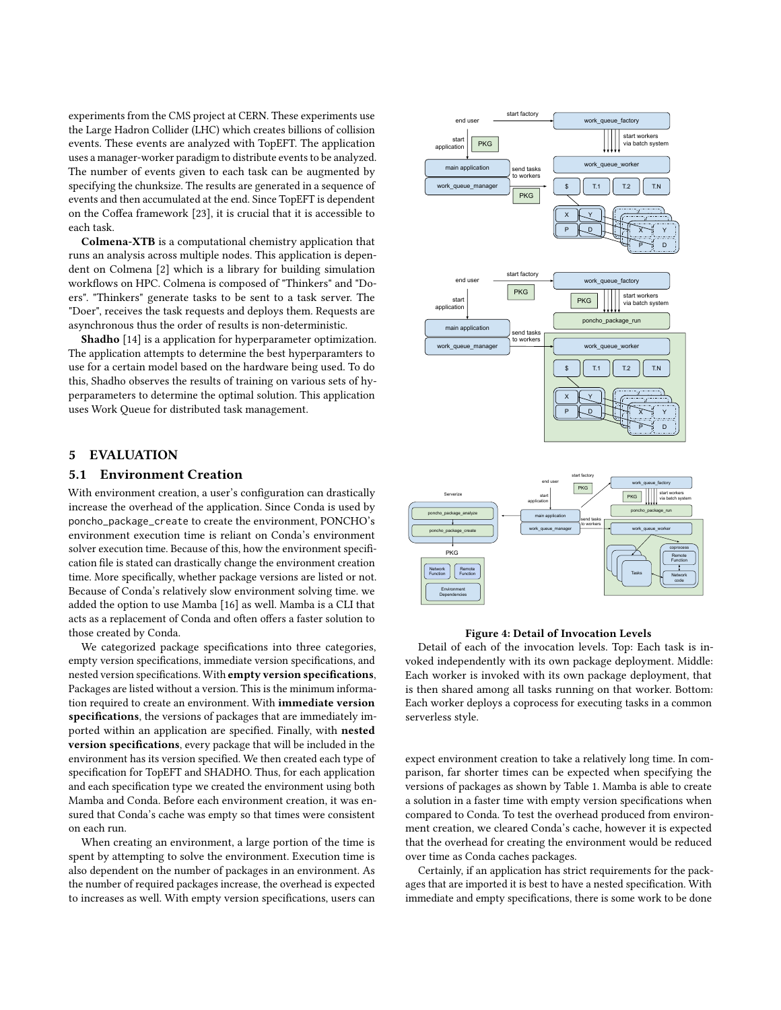experiments from the CMS project at CERN. These experiments use the Large Hadron Collider (LHC) which creates billions of collision events. These events are analyzed with TopEFT. The application uses a manager-worker paradigm to distribute events to be analyzed. The number of events given to each task can be augmented by specifying the chunksize. The results are generated in a sequence of events and then accumulated at the end. Since TopEFT is dependent on the Coffea framework [\[23\]](#page-6-10), it is crucial that it is accessible to each task.

Colmena-XTB is a computational chemistry application that runs an analysis across multiple nodes. This application is dependent on Colmena [\[2\]](#page-6-11) which is a library for building simulation workflows on HPC. Colmena is composed of "Thinkers" and "Doers". "Thinkers" generate tasks to be sent to a task server. The "Doer", receives the task requests and deploys them. Requests are asynchronous thus the order of results is non-deterministic.

Shadho [\[14\]](#page-6-12) is a application for hyperparameter optimization. The application attempts to determine the best hyperparamters to use for a certain model based on the hardware being used. To do this, Shadho observes the results of training on various sets of hyperparameters to determine the optimal solution. This application uses Work Queue for distributed task management.

# 5 EVALUATION

#### 5.1 Environment Creation

With environment creation, a user's configuration can drastically increase the overhead of the application. Since Conda is used by poncho\_package\_create to create the environment, PONCHO's environment execution time is reliant on Conda's environment solver execution time. Because of this, how the environment specification file is stated can drastically change the environment creation time. More specifically, whether package versions are listed or not. Because of Conda's relatively slow environment solving time. we added the option to use Mamba [\[16\]](#page-6-13) as well. Mamba is a CLI that acts as a replacement of Conda and often offers a faster solution to those created by Conda.

We categorized package specifications into three categories, empty version specifications, immediate version specifications, and nested version specifications. With empty version specifications, Packages are listed without a version. This is the minimum information required to create an environment. With immediate version specifications, the versions of packages that are immediately imported within an application are specified. Finally, with nested version specifications, every package that will be included in the environment has its version specified. We then created each type of specification for TopEFT and SHADHO. Thus, for each application and each specification type we created the environment using both Mamba and Conda. Before each environment creation, it was ensured that Conda's cache was empty so that times were consistent on each run.

When creating an environment, a large portion of the time is spent by attempting to solve the environment. Execution time is also dependent on the number of packages in an environment. As the number of required packages increase, the overhead is expected to increases as well. With empty version specifications, users can

<span id="page-4-0"></span>

#### Figure 4: Detail of Invocation Levels

Detail of each of the invocation levels. Top: Each task is invoked independently with its own package deployment. Middle: Each worker is invoked with its own package deployment, that is then shared among all tasks running on that worker. Bottom: Each worker deploys a coprocess for executing tasks in a common serverless style.

expect environment creation to take a relatively long time. In comparison, far shorter times can be expected when specifying the versions of packages as shown by Table [1.](#page-5-0) Mamba is able to create a solution in a faster time with empty version specifications when compared to Conda. To test the overhead produced from environment creation, we cleared Conda's cache, however it is expected that the overhead for creating the environment would be reduced over time as Conda caches packages.

Certainly, if an application has strict requirements for the packages that are imported it is best to have a nested specification. With immediate and empty specifications, there is some work to be done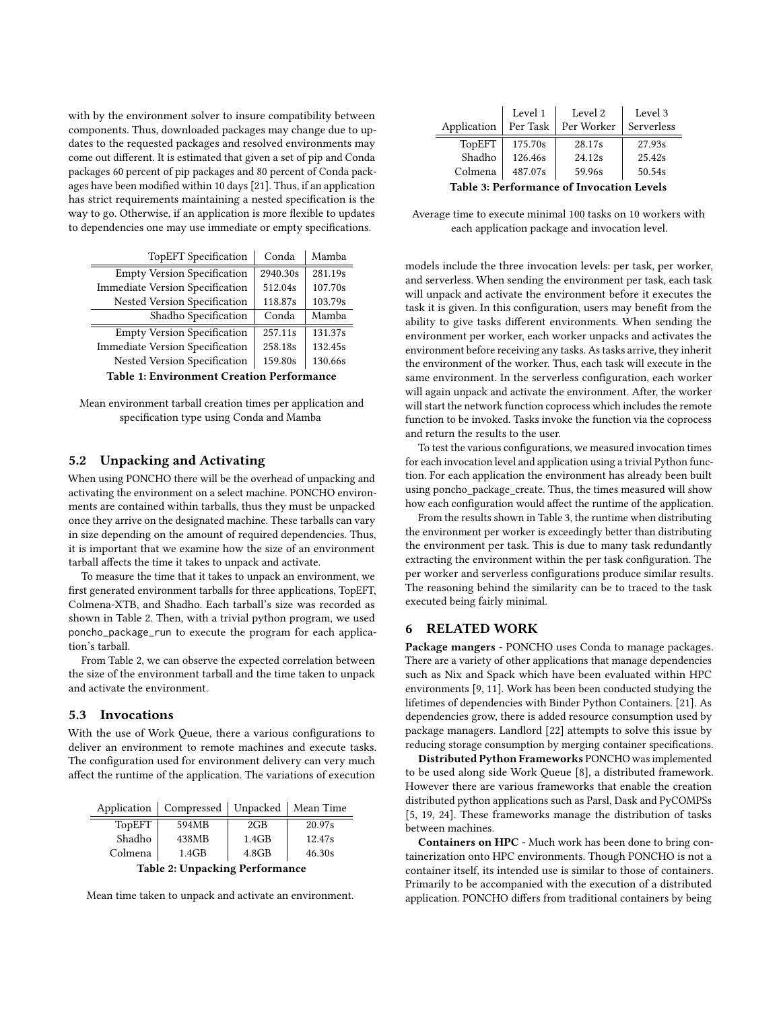with by the environment solver to insure compatibility between components. Thus, downloaded packages may change due to updates to the requested packages and resolved environments may come out different. It is estimated that given a set of pip and Conda packages 60 percent of pip packages and 80 percent of Conda packages have been modified within 10 days [\[21\]](#page-6-14). Thus, if an application has strict requirements maintaining a nested specification is the way to go. Otherwise, if an application is more flexible to updates to dependencies one may use immediate or empty specifications.

<span id="page-5-0"></span>

| <b>TopEFT</b> Specification                      | Conda    | Mamba   |  |  |
|--------------------------------------------------|----------|---------|--|--|
| <b>Empty Version Specification</b>               | 2940.30s | 281.19s |  |  |
| <b>Immediate Version Specification</b>           | 512.04s  | 107.70s |  |  |
| Nested Version Specification                     | 118.87s  | 103.79s |  |  |
| Shadho Specification                             | Conda    | Mamba   |  |  |
| <b>Empty Version Specification</b>               | 257.11s  | 131.37s |  |  |
| <b>Immediate Version Specification</b>           | 258.18s  | 132.45s |  |  |
| Nested Version Specification                     | 159.80s  | 130.66s |  |  |
| <b>Table 1: Environment Creation Performance</b> |          |         |  |  |

Mean environment tarball creation times per application and specification type using Conda and Mamba

# 5.2 Unpacking and Activating

When using PONCHO there will be the overhead of unpacking and activating the environment on a select machine. PONCHO environments are contained within tarballs, thus they must be unpacked once they arrive on the designated machine. These tarballs can vary in size depending on the amount of required dependencies. Thus, it is important that we examine how the size of an environment tarball affects the time it takes to unpack and activate.

To measure the time that it takes to unpack an environment, we first generated environment tarballs for three applications, TopEFT, Colmena-XTB, and Shadho. Each tarball's size was recorded as shown in Table [2.](#page-5-1) Then, with a trivial python program, we used poncho\_package\_run to execute the program for each application's tarball.

From Table [2,](#page-5-1) we can observe the expected correlation between the size of the environment tarball and the time taken to unpack and activate the environment.

# 5.3 Invocations

With the use of Work Queue, there a various configurations to deliver an environment to remote machines and execute tasks. The configuration used for environment delivery can very much affect the runtime of the application. The variations of execution

<span id="page-5-1"></span>

| Application                    | Compressed | Unpacked | Mean Time |  |  |
|--------------------------------|------------|----------|-----------|--|--|
| TopEFT                         | 594MB      | 2GB      | 20.97s    |  |  |
| Shadho                         | 438MB      | 1.4GB    | 12.47s    |  |  |
| Colmena                        | 1.4GB      | 4.8GB    | 46.30s    |  |  |
| Table 2: Unpacking Performance |            |          |           |  |  |

Mean time taken to unpack and activate an environment.

<span id="page-5-2"></span>

|                                                  | Level 1  | Level 2    | Level 3    |  |  |
|--------------------------------------------------|----------|------------|------------|--|--|
| Application                                      | Per Task | Per Worker | Serverless |  |  |
| TopEFT                                           | 175.70s  | 28.17s     | 27.93s     |  |  |
| Shadho                                           | 126.46s  | 24.12s     | 25.42s     |  |  |
| Colmena                                          | 487.07s  | 59.96s     | 50.54s     |  |  |
| <b>Table 3: Performance of Invocation Levels</b> |          |            |            |  |  |

Average time to execute minimal 100 tasks on 10 workers with each application package and invocation level.

models include the three invocation levels: per task, per worker, and serverless. When sending the environment per task, each task will unpack and activate the environment before it executes the task it is given. In this configuration, users may benefit from the ability to give tasks different environments. When sending the environment per worker, each worker unpacks and activates the environment before receiving any tasks. As tasks arrive, they inherit the environment of the worker. Thus, each task will execute in the same environment. In the serverless configuration, each worker will again unpack and activate the environment. After, the worker will start the network function coprocess which includes the remote function to be invoked. Tasks invoke the function via the coprocess and return the results to the user.

To test the various configurations, we measured invocation times for each invocation level and application using a trivial Python function. For each application the environment has already been built using poncho\_package\_create. Thus, the times measured will show how each configuration would affect the runtime of the application.

From the results shown in Table [3,](#page-5-2) the runtime when distributing the environment per worker is exceedingly better than distributing the environment per task. This is due to many task redundantly extracting the environment within the per task configuration. The per worker and serverless configurations produce similar results. The reasoning behind the similarity can be to traced to the task executed being fairly minimal.

#### 6 RELATED WORK

Package mangers - PONCHO uses Conda to manage packages. There are a variety of other applications that manage dependencies such as Nix and Spack which have been evaluated within HPC environments [\[9,](#page-6-15) [11\]](#page-6-3). Work has been been conducted studying the lifetimes of dependencies with Binder Python Containers. [\[21\]](#page-6-14). As dependencies grow, there is added resource consumption used by package managers. Landlord [\[22\]](#page-6-16) attempts to solve this issue by reducing storage consumption by merging container specifications.

Distributed Python Frameworks PONCHO was implemented to be used along side Work Queue [\[8\]](#page-6-8), a distributed framework. However there are various frameworks that enable the creation distributed python applications such as Parsl, Dask and PyCOMPSs [\[5,](#page-6-4) [19,](#page-6-5) [24\]](#page-6-17). These frameworks manage the distribution of tasks between machines.

Containers on HPC - Much work has been done to bring containerization onto HPC environments. Though PONCHO is not a container itself, its intended use is similar to those of containers. Primarily to be accompanied with the execution of a distributed application. PONCHO differs from traditional containers by being